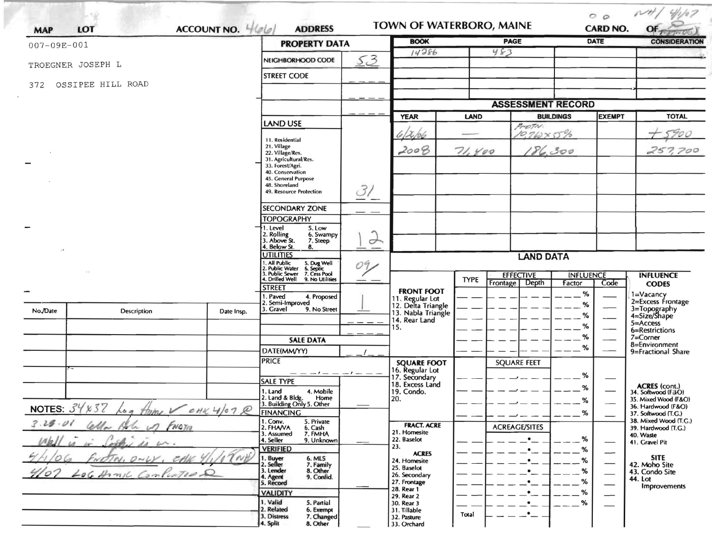| ACCOUNT NO. 466<br>LOT<br><b>MAP</b><br>$007 - 09E - 001$       |                                    |                                                                             | <b>PROPERTY DATA</b>                                                                             |                    | <b>BOOK</b>                                                             |             | <b>PAGE</b>              |                               | <b>DATE</b>              | <b>CONSIDERATION</b>                         |
|-----------------------------------------------------------------|------------------------------------|-----------------------------------------------------------------------------|--------------------------------------------------------------------------------------------------|--------------------|-------------------------------------------------------------------------|-------------|--------------------------|-------------------------------|--------------------------|----------------------------------------------|
|                                                                 |                                    |                                                                             |                                                                                                  |                    | 14286                                                                   |             | 483                      |                               |                          |                                              |
| TROEGNER JOSEPH L                                               |                                    |                                                                             | NEIGHBORHOOD CODE                                                                                | 53                 |                                                                         |             |                          |                               |                          |                                              |
| 372                                                             | OSSIPEE HILL ROAD                  |                                                                             | <b>STREET CODE</b>                                                                               |                    |                                                                         |             |                          |                               |                          |                                              |
|                                                                 |                                    |                                                                             |                                                                                                  |                    |                                                                         |             | <b>ASSESSMENT RECORD</b> |                               |                          |                                              |
|                                                                 |                                    |                                                                             |                                                                                                  |                    | <b>YEAR</b>                                                             | <b>LAND</b> |                          | <b>BUILDINGS</b>              | <b>EXEMPT</b>            | <b>TOTAL</b>                                 |
|                                                                 |                                    |                                                                             | LAND USE                                                                                         |                    |                                                                         |             | From.                    |                               |                          |                                              |
|                                                                 |                                    | 11. Residential<br>21. Village<br>22. Village/Res.<br>31. Agricultural/Res. |                                                                                                  | 12,66              | $10.760\times0.06$                                                      |             |                          |                               |                          |                                              |
|                                                                 |                                    |                                                                             |                                                                                                  | 2008               | 71,400                                                                  | 186,300     |                          |                               | 257,700                  |                                              |
|                                                                 |                                    |                                                                             | 33. Forest/Agri.<br>40. Conservation                                                             |                    |                                                                         |             |                          |                               |                          |                                              |
|                                                                 |                                    |                                                                             | 45. General Purpose<br>48. Shoreland                                                             |                    |                                                                         |             |                          |                               |                          |                                              |
|                                                                 |                                    |                                                                             | 49. Resource Protection                                                                          | 31                 |                                                                         |             |                          |                               |                          |                                              |
|                                                                 |                                    |                                                                             | <b>SECONDARY ZONE</b>                                                                            |                    |                                                                         |             |                          |                               |                          |                                              |
|                                                                 |                                    |                                                                             | <b>TOPOGRAPHY</b>                                                                                |                    |                                                                         |             |                          |                               |                          |                                              |
|                                                                 |                                    |                                                                             | . Level<br>5. Low<br>2. Rolling<br>3. Above St.<br>6. Swampy                                     |                    |                                                                         |             |                          |                               |                          |                                              |
|                                                                 |                                    |                                                                             | 7. Steep<br>4. Below St.<br>8.                                                                   | $\rightarrow$      |                                                                         |             |                          |                               |                          |                                              |
|                                                                 |                                    |                                                                             | UTILITIES<br>. All Public                                                                        | 09                 | <b>LAND DATA</b>                                                        |             |                          |                               |                          |                                              |
|                                                                 |                                    |                                                                             | 5. Dug Well<br>6. Septic<br>7. Cess Pool<br>. Public Water<br>3. Public Sewer<br>4. Drilled Well |                    | <b>EFFECTIVE</b><br><b>INFLUENCE</b><br><b>INFLUENCE</b><br><b>TYPE</b> |             |                          |                               |                          |                                              |
|                                                                 |                                    |                                                                             | 9. No Utilities<br><b>STREET</b>                                                                 |                    | <b>FRONT FOOT</b>                                                       |             | Depth<br><b>Frontage</b> | Factor                        | Code                     | <b>CODES</b>                                 |
|                                                                 |                                    |                                                                             | I. Paved<br>4. Proposed<br>2. Semi-Improved                                                      |                    | 11. Regular Lot                                                         |             |                          | %<br>%                        |                          | 1=Vacancy<br>2=Excess Frontage               |
| No./Date                                                        | Description                        | Date Insp.                                                                  | 9. No Street<br>3. Gravel                                                                        |                    | 12. Delta Triangle<br>13. Nabla Triangle                                |             |                          | %                             |                          | 3=Topography<br>4=Size/Shape                 |
|                                                                 |                                    |                                                                             |                                                                                                  |                    | 14. Rear Land<br>15.                                                    |             |                          | %                             |                          | 5=Access<br>6=Restrictions                   |
|                                                                 |                                    |                                                                             | <b>SALE DATA</b>                                                                                 |                    |                                                                         |             |                          | %                             |                          | $7 =$ Corner<br>8=Environment                |
|                                                                 |                                    |                                                                             | DATE(MM/YY)                                                                                      |                    |                                                                         |             |                          | %                             |                          | 9=Fractional Share                           |
|                                                                 |                                    |                                                                             | <b>PRICE</b>                                                                                     |                    | <b>SQUARE FOOT</b>                                                      |             | <b>SQUARE FEET</b>       |                               |                          |                                              |
|                                                                 |                                    |                                                                             | <b>SALE TYPE</b>                                                                                 | $-1 - -1 -1 - -$   | 16. Regular Lot<br>17. Secondary<br>18. Excess Land                     |             |                          | %                             |                          |                                              |
|                                                                 |                                    |                                                                             | 1. Land<br>4. Mobile<br>Home                                                                     |                    | 19. Condo.<br>20.                                                       |             |                          | %                             |                          | <b>ACRES</b> (cont.)<br>34. Softwood (F&O)   |
| $\sim l \sim \sim l$<br>Ĥ<br>NOTES: $34837$<br>CHK4/07R<br>(o a |                                    |                                                                             | 2. Land & Bldg. Home<br>3. Building Only 5. Other                                                |                    |                                                                         |             |                          | %                             |                          | 35. Mixed Wood (F&O)<br>36. Hardwood (F&O)   |
| 3.28.01                                                         |                                    |                                                                             | <b>FINANCING</b><br>1. Conv.<br>5. Private                                                       |                    | <b>FRACT. ACRE</b>                                                      |             |                          | %                             |                          | 37. Softwood (T.G.)<br>38. Mixed Wood (T.G.) |
| Cella<br>FNOTIO<br>ペイレー                                         |                                    |                                                                             | 2. FHAVA<br>6. Cash<br>7. FMHA<br>3. Assumed                                                     |                    | 21. Homesite                                                            |             | <b>ACREAGE/SITES</b>     |                               |                          | 39. Hardwood (T.G.)<br>40. Waste             |
|                                                                 | orth.                              | 4. Seller<br>9. Unknown<br><b>VERIFIED</b>                                  |                                                                                                  | 22. Baselot<br>23. |                                                                         | $\bullet$   | %<br>%                   | $\overbrace{\phantom{13333}}$ | 41. Gravel Pit           |                                              |
| Ò<br>$D\sim$                                                    |                                    |                                                                             | 1. Buyer<br>2. Seller<br>6. MLS<br>7. Family<br>8. Other                                         |                    | <b>ACRES</b><br>24. Homesite                                            |             |                          | %                             | $\overline{\phantom{0}}$ | <b>SITE</b><br>42. Moho Site                 |
| $\mathcal O$                                                    | LOG Hamil<br>$sin$ linted $\Omega$ |                                                                             | 3. Lender<br>9. Confid.                                                                          |                    | 25. Baselot<br>26. Secondary                                            |             |                          | %                             |                          | 43. Condo Site                               |
|                                                                 |                                    |                                                                             | 4. Agent<br>5. Record                                                                            |                    | 27. Frontage<br>28. Rear 1                                              |             |                          | %                             |                          | 44. Lot<br><b>Improvements</b>               |
|                                                                 |                                    |                                                                             | <b>VALIDITY</b><br>1. Valid<br>5. Partial                                                        |                    | 29. Rear 2<br>30. Rear 3                                                |             |                          | %<br>%                        |                          |                                              |
|                                                                 |                                    |                                                                             | 2. Related<br>6. Exempt<br>3. Distress<br>7. Changed                                             |                    | 31. Tillable<br>32. Pasture                                             | Total       |                          |                               |                          |                                              |
|                                                                 |                                    |                                                                             | 8. Other<br>4. Split                                                                             |                    | 33. Orchard                                                             |             |                          |                               |                          |                                              |